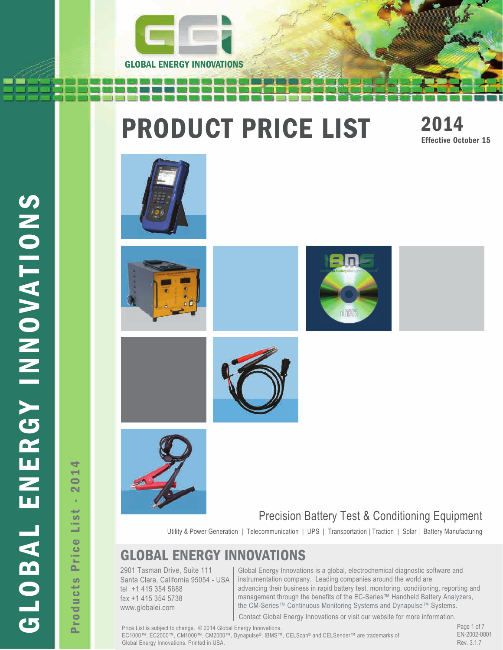

# **PRODUCT PRICE LIST** 2014















Utility & Power Generation | Telecommunication | UPS | Transportation | Traction | Solar | Battery Manufacturing

## GLOBAL ENERGY INNOVATIONS

2901 Tasman Drive, Suite 111 Santa Clara, California 95054 - USA tel +1 415 354 5688 fax +1 415 354 5738 www.globalei.com

Global Energy Innovations is a global, electrochemical diagnostic software and instrumentation company. Leading companies around the world are advancing their business in rapid battery test, monitoring, conditioning, reporting and management through the benefits of the EC-Series™ Handheld Battery Analyzers, the CM-Series™ Continuous Monitoring Systems and Dynapulse™ Systems.

Contact Global Energy Innovations or visit our website for more information.

Price List is subject to change. © 2014 Global Energy Innovations. EC1000™, EC2000™, CM1000™, CM2000™, Dynapulse®, IBMS™, CELScan® and CELSender™ are trademarks of Global Energy Innovations. Printed in USA.

Page 1 of 7 EN-2002-0001 Rev. 3.1.7

GLOBAL ENERGY IN OVATIONS GLOBAL ENERGY INNOVATIONS

4 Products Price List - 2014  $01$  $\overline{\mathbf{N}}$ à.  $\overline{\phantom{a}}$ š Price Products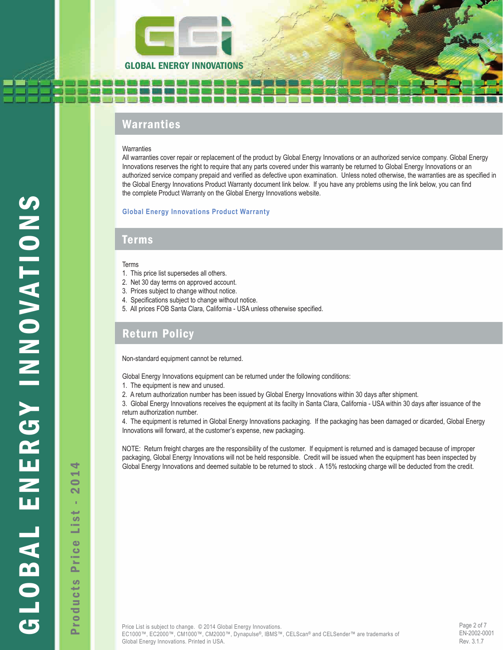

## Warranties

#### **Warranties**

All warranties cover repair or replacement of the product by Global Energy Innovations or an authorized service company. Global Energy Innovations reserves the right to require that any parts covered under this warranty be returned to Global Energy Innovations or an authorized service company prepaid and verified as defective upon examination. Unless noted otherwise, the warranties are as specified in the Global Energy Innovations Product Warranty document link below. If you have any problems using the link below, you can find the complete Product Warranty on the Global Energy Innovations website.

#### **[Global Energy Innovations Product Warranty](http://www.globalei.com/downloads/Global_Energy_Innovations_Product_Warranty.pdf)**

#### Terms

#### Terms

- 1. This price list supersedes all others.
- 2. Net 30 day terms on approved account.
- 3. Prices subject to change without notice.
- 4. Specifications subject to change without notice.
- 5. All prices FOB Santa Clara, California USA unless otherwise specified.

### Return Policy

Non-standard equipment cannot be returned.

Global Energy Innovations equipment can be returned under the following conditions:

- 1. The equipment is new and unused.
- 2. A return authorization number has been issued by Global Energy Innovations within 30 days after shipment.

3. Global Energy Innovations receives the equipment at its facilty in Santa Clara, California - USA within 30 days after issuance of the return authorization number.

4. The equipment is returned in Global Energy Innovations packaging. If the packaging has been damaged or dicarded, Global Energy Innovations will forward, at the customer's expense, new packaging.

NOTE: Return freight charges are the responsibility of the customer. If equipment is returned and is damaged because of improper packaging, Global Energy Innovations will not be held responsible. Credit will be issued when the equipment has been inspected by Global Energy Innovations and deemed suitable to be returned to stock . A 15% restocking charge will be deducted from the credit.

Page 2 of 7 EN-2002-0001 Rev. 3.1.7

Products Price List - 2014  $\overline{\phantom{0}}$  $\overline{\mathbf{N}}$ à,  $\overline{\phantom{a}}$ G Price Products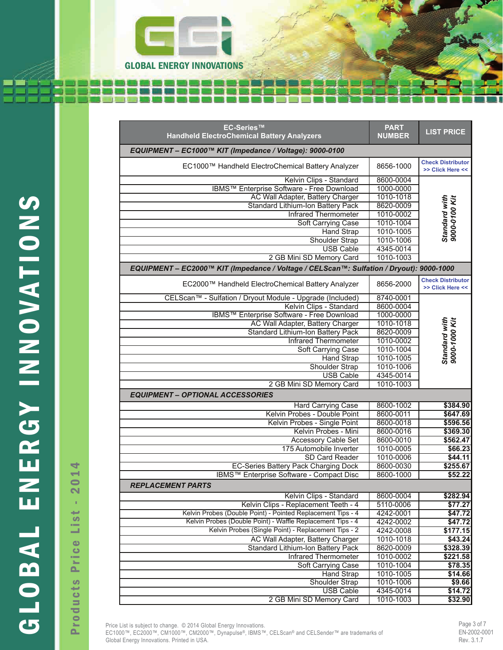

|                                                                                         | <b>EC-Series™</b><br><b>Handheld ElectroChemical Battery Analyzers</b> | <b>PART</b><br><b>NUMBER</b> | <b>LIST PRICE</b>                            |
|-----------------------------------------------------------------------------------------|------------------------------------------------------------------------|------------------------------|----------------------------------------------|
|                                                                                         |                                                                        |                              |                                              |
|                                                                                         | EQUIPMENT - EC1000™ KIT (Impedance / Voltage): 9000-0100               |                              |                                              |
|                                                                                         | EC1000™ Handheld ElectroChemical Battery Analyzer                      | 8656-1000                    | <b>Check Distributor</b><br>>> Click Here << |
|                                                                                         | Kelvin Clips - Standard                                                | 8600-0004                    |                                              |
|                                                                                         | IBMS™ Enterprise Software - Free Download                              | 1000-0000                    |                                              |
|                                                                                         | AC Wall Adapter, Battery Charger                                       | 1010-1018                    |                                              |
|                                                                                         | Standard Lithium-Ion Battery Pack                                      | 8620-0009                    |                                              |
|                                                                                         | <b>Infrared Thermometer</b>                                            | 1010-0002                    |                                              |
|                                                                                         | Soft Carrying Case                                                     | 1010-1004                    | Standard with<br>9000-0100 Kit               |
|                                                                                         | <b>Hand Strap</b>                                                      | 1010-1005                    |                                              |
|                                                                                         | Shoulder Strap                                                         | 1010-1006                    |                                              |
|                                                                                         | <b>USB Cable</b>                                                       | 4345-0014                    |                                              |
|                                                                                         | 2 GB Mini SD Memory Card                                               | 1010-1003                    |                                              |
| EQUIPMENT - EC2000™ KIT (Impedance / Voltage / CELScan™: Sulfation / Dryout): 9000-1000 |                                                                        |                              |                                              |
|                                                                                         | EC2000™ Handheld ElectroChemical Battery Analyzer                      | 8656-2000                    | <b>Check Distributor</b><br>>> Click Here << |
|                                                                                         | CELScan™ - Sulfation / Dryout Module - Upgrade (Included)              | 8740-0001                    |                                              |
|                                                                                         | Kelvin Clips - Standard                                                | 8600-0004                    |                                              |
|                                                                                         | IBMS™ Enterprise Software - Free Download                              | 1000-0000                    |                                              |
|                                                                                         | AC Wall Adapter, Battery Charger                                       | 1010-1018                    | Standard with<br>9000-1000 Kit               |
|                                                                                         | Standard Lithium-Ion Battery Pack                                      | 8620-0009                    |                                              |
|                                                                                         | <b>Infrared Thermometer</b>                                            | 1010-0002                    |                                              |
|                                                                                         | Soft Carrying Case                                                     | 1010-1004                    |                                              |
|                                                                                         | <b>Hand Strap</b>                                                      | 1010-1005                    |                                              |
|                                                                                         | Shoulder Strap                                                         | 1010-1006                    |                                              |
|                                                                                         | <b>USB Cable</b>                                                       | 4345-0014                    |                                              |
|                                                                                         | 2 GB Mini SD Memory Card                                               | 1010-1003                    |                                              |
|                                                                                         | <b>EQUIPMENT - OPTIONAL ACCESSORIES</b>                                |                              |                                              |
|                                                                                         | <b>Hard Carrying Case</b>                                              | 8600-1002                    | \$384.90                                     |
|                                                                                         | Kelvin Probes - Double Point                                           | 8600-0011                    | \$647.69                                     |
|                                                                                         | Kelvin Probes - Single Point                                           | 8600-0018                    | \$596.56                                     |
|                                                                                         | Kelvin Probes - Mini                                                   | 8600-0016                    | \$369.30                                     |
|                                                                                         | <b>Accessory Cable Set</b>                                             | 8600-0010                    | \$562.47                                     |
|                                                                                         | 175 Automobile Inverter                                                | 1010-0005                    | \$66.23                                      |
|                                                                                         | SD Card Reader                                                         | 1010-0006                    | \$44.11<br>\$255.67                          |
| ₹<br>$\rightarrow$                                                                      | <b>EC-Series Battery Pack Charging Dock</b>                            | 8600-0030<br>8600-1000       | \$52.22                                      |
| $\bullet$                                                                               | IBMS™ Enterprise Software - Compact Disc<br>REPLACEMENT PARTS          |                              |                                              |
| $\mathbf{\Omega}$                                                                       | Kelvin Clips - Standard                                                | 8600-0004                    | \$282.94                                     |
| п                                                                                       | Kelvin Clips - Replacement Teeth - 4                                   | 5110-0006                    | \$77.27                                      |
| سي                                                                                      | Kelvin Probes (Double Point) - Pointed Replacement Tips - 4            | 4242-0001                    | \$47.72                                      |
| ဖာ                                                                                      | Kelvin Probes (Double Point) - Waffle Replacement Tips - 4             | 4242-0002                    | \$47.72                                      |
| $\sim$<br>-                                                                             | Kelvin Probes (Single Point) - Replacement Tips - 2                    | 4242-0008                    | \$177.15                                     |
|                                                                                         | AC Wall Adapter, Battery Charger                                       | 1010-1018                    | \$43.24                                      |
| $\bullet$                                                                               | Standard Lithium-Ion Battery Pack                                      | 8620-0009                    | \$328.39                                     |
| $\bullet$<br>m.                                                                         | <b>Infrared Thermometer</b>                                            | 1010-0002                    | \$221.58                                     |
| $\mathbf{r}$                                                                            | Soft Carrying Case                                                     | 1010-1004                    | \$78.35                                      |
| ௨                                                                                       | <b>Hand Strap</b>                                                      | 1010-1005                    | \$14.66                                      |
| <b>S</b>                                                                                | <b>Shoulder Strap</b>                                                  | 1010-1006                    | \$9.66                                       |
| سيد                                                                                     | <b>USB Cable</b>                                                       | 4345-0014                    | \$14.72                                      |
| မ<br>$\equiv$                                                                           | 2 GB Mini SD Memory Card                                               | 1010-1003                    | \$32.90                                      |

EC<sub>100</sub>™ and CEL-Scan™ are both trademarks of Global Energy Innovations. Printed in USA. \* "CEL-Scan™" refers to Chemical Electrical Layer-Scan analysis technique. Price List is subject to change. © 2014 Global Energy Innovations. EC1000™, EC2000™, CM1000™, CM2000™, Dynapulse®, IBMS™, CELScan® and CELSender™ are trademarks of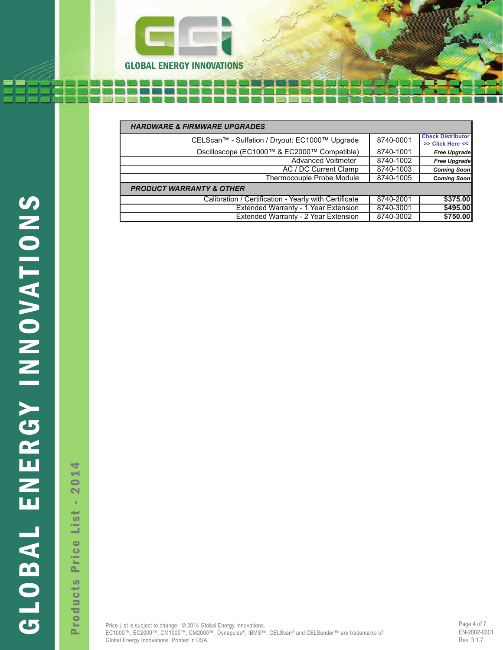

| <b>HARDWARE &amp; FIRMWARE UPGRADES</b>               |           |                                              |
|-------------------------------------------------------|-----------|----------------------------------------------|
| CELScan™ - Sulfation / Dryout: EC1000™ Upgrade        | 8740-0001 | <b>Check Distributor</b><br>>> Click Here << |
| Oscilloscope (EC1000™ & EC2000™ Compatible)           | 8740-1001 | <b>Free Upgrade</b>                          |
| <b>Advanced Voltmeter</b>                             | 8740-1002 | <b>Free Upgrade</b>                          |
| AC / DC Current Clamp                                 | 8740-1003 | <b>Coming Soon</b>                           |
| Thermocouple Probe Module                             | 8740-1005 | <b>Coming Soon</b>                           |
| <b>PRODUCT WARRANTY &amp; OTHER</b>                   |           |                                              |
| Calibration / Certification - Yearly with Certificate | 8740-2001 | \$375.00                                     |
| Extended Warranty - 1 Year Extension                  | 8740-3001 | \$495.00                                     |
| Extended Warranty - 2 Year Extension                  | 8740-3002 | \$750.00                                     |

Products Price List - 2014  $01$  $\overline{\mathbf{N}}$ à, List Price Products

4

\* "CEL-Scan™" refers to Chemical Electrical Layer-Scan analysis technique.

**Sulfation, Dryout, Voltage and Impedance (SDVI).**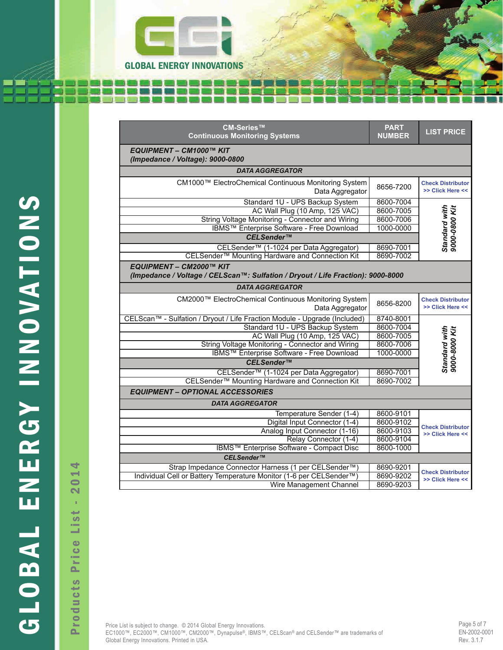

|                                                                                                                           |                  | CM-Series™<br><b>Continuous Monitoring Systems</b>                        | <b>PART</b><br><b>NUMBER</b> | <b>LIST PRICE</b>                            |
|---------------------------------------------------------------------------------------------------------------------------|------------------|---------------------------------------------------------------------------|------------------------------|----------------------------------------------|
|                                                                                                                           |                  | EQUIPMENT - CM1000™ KIT<br>(Impedance / Voltage): 9000-0800               |                              |                                              |
|                                                                                                                           |                  | <b>DATA AGGREGATOR</b>                                                    |                              |                                              |
|                                                                                                                           |                  | CM1000™ ElectroChemical Continuous Monitoring System<br>Data Aggregator   | 8656-7200                    | <b>Check Distributor</b><br>>> Click Here << |
|                                                                                                                           |                  | Standard 1U - UPS Backup System                                           | 8600-7004                    |                                              |
|                                                                                                                           |                  | AC Wall Plug (10 Amp, 125 VAC)                                            | 8600-7005                    | Standard with<br>9000-0800 Kit               |
|                                                                                                                           |                  | String Voltage Monitoring - Connector and Wiring                          | 8600-7006                    |                                              |
|                                                                                                                           |                  | IBMS™ Enterprise Software - Free Download                                 | 1000-0000                    |                                              |
|                                                                                                                           |                  | CELSender™                                                                |                              |                                              |
|                                                                                                                           |                  | CELSender™ (1-1024 per Data Aggregator)                                   | 8690-7001                    |                                              |
|                                                                                                                           |                  | CELSender™ Mounting Hardware and Connection Kit                           | 8690-7002                    |                                              |
| SNONNATONIA<br>EQUIPMENT - CM2000™ KIT<br>(Impedance / Voltage / CELScan™: Sulfation / Dryout / Life Fraction): 9000-8000 |                  |                                                                           |                              |                                              |
|                                                                                                                           |                  | <b>DATA AGGREGATOR</b>                                                    |                              |                                              |
|                                                                                                                           |                  | CM2000™ ElectroChemical Continuous Monitoring System<br>Data Aggregator   | 8656-8200                    | <b>Check Distributor</b><br>>> Click Here << |
|                                                                                                                           |                  | CELScan™ - Sulfation / Dryout / Life Fraction Module - Upgrade (Included) | 8740-8001                    |                                              |
|                                                                                                                           |                  | Standard 1U - UPS Backup System                                           | 8600-7004                    |                                              |
|                                                                                                                           |                  | AC Wall Plug (10 Amp, 125 VAC)                                            | 8600-7005                    | Standard with<br>9000-8000 Kit               |
|                                                                                                                           |                  | String Voltage Monitoring - Connector and Wiring                          | 8600-7006                    |                                              |
|                                                                                                                           |                  | IBMS™ Enterprise Software - Free Download                                 | 1000-0000                    |                                              |
|                                                                                                                           |                  | CELSender™                                                                |                              |                                              |
|                                                                                                                           |                  | CELSender™ (1-1024 per Data Aggregator)                                   | 8690-7001                    |                                              |
|                                                                                                                           |                  | CELSender™ Mounting Hardware and Connection Kit                           | 8690-7002                    |                                              |
|                                                                                                                           |                  | <b>EQUIPMENT - OPTIONAL ACCESSORIES</b>                                   |                              |                                              |
|                                                                                                                           |                  | <b>DATA AGGREGATOR</b>                                                    |                              |                                              |
|                                                                                                                           |                  | Temperature Sender (1-4)                                                  | 8600-9101                    |                                              |
|                                                                                                                           |                  | Digital Input Connector (1-4)                                             | 8600-9102                    |                                              |
|                                                                                                                           |                  | Analog Input Connector (1-16)                                             | 8600-9103                    | <b>Check Distributor</b><br>>> Click Here << |
|                                                                                                                           |                  | Relay Connector (1-4)                                                     | 8600-9104                    |                                              |
|                                                                                                                           |                  | IBMS™ Enterprise Software - Compact Disc                                  | 8600-1000                    |                                              |
| ل<br>اللہ<br>اللہ                                                                                                         |                  | CELSender™                                                                |                              |                                              |
|                                                                                                                           | ÷                | Strap Impedance Connector Harness (1 per CELSender™)                      | 8690-9201                    |                                              |
|                                                                                                                           |                  | Individual Cell or Battery Temperature Monitor (1-6 per CELSender™)       | 8690-9202                    | <b>Check Distributor</b><br>>> Click Here << |
|                                                                                                                           | $\bullet$<br>- 1 | Wire Management Channel                                                   | 8690-9203                    |                                              |

Products Price List - 2014  $01$  $\overline{\mathbf{N}}$ à, List Price Products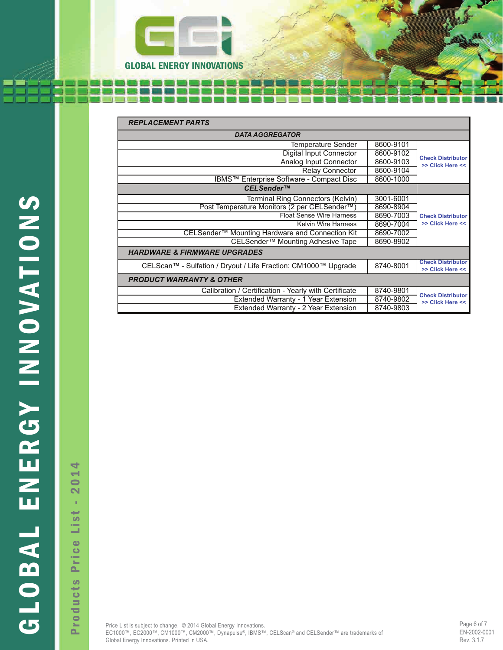

|               | <b>REPLACEMENT PARTS</b>                                       |           |                                              |
|---------------|----------------------------------------------------------------|-----------|----------------------------------------------|
|               | <b>DATA AGGREGATOR</b>                                         |           |                                              |
|               | Temperature Sender                                             | 8600-9101 |                                              |
|               | <b>Digital Input Connector</b>                                 | 8600-9102 | <b>Check Distributor</b>                     |
|               | Analog Input Connector                                         | 8600-9103 | >> Click Here <<                             |
|               | <b>Relay Connector</b>                                         | 8600-9104 |                                              |
|               | IBMS™ Enterprise Software - Compact Disc                       | 8600-1000 |                                              |
|               | CELSender™                                                     |           |                                              |
|               | Terminal Ring Connectors (Kelvin)                              | 3001-6001 |                                              |
| $\frac{S}{Z}$ | Post Temperature Monitors (2 per CELSender™)                   | 8690-8904 |                                              |
|               | <b>Float Sense Wire Harness</b>                                | 8690-7003 | <b>Check Distributor</b>                     |
|               | <b>Kelvin Wire Harness</b>                                     | 8690-7004 | >> Click Here <<                             |
|               | CELSender™ Mounting Hardware and Connection Kit                | 8690-7002 |                                              |
|               | CELSender <sup>™</sup> Mounting Adhesive Tape                  | 8690-8902 |                                              |
|               | <b>HARDWARE &amp; FIRMWARE UPGRADES</b>                        |           |                                              |
| VATIO         | CELScan™ - Sulfation / Dryout / Life Fraction: CM1000™ Upgrade | 8740-8001 | <b>Check Distributor</b><br>>> Click Here << |
|               | <b>PRODUCT WARRANTY &amp; OTHER</b>                            |           |                                              |
|               | Calibration / Certification - Yearly with Certificate          | 8740-9801 |                                              |
|               | Extended Warranty - 1 Year Extension                           | 8740-9802 | <b>Check Distributor</b><br>>> Click Here << |
|               | Extended Warranty - 2 Year Extension                           | 8740-9803 |                                              |

Products Price List - 2014  $01$  $\overline{\mathbf{N}}$ à, List Price